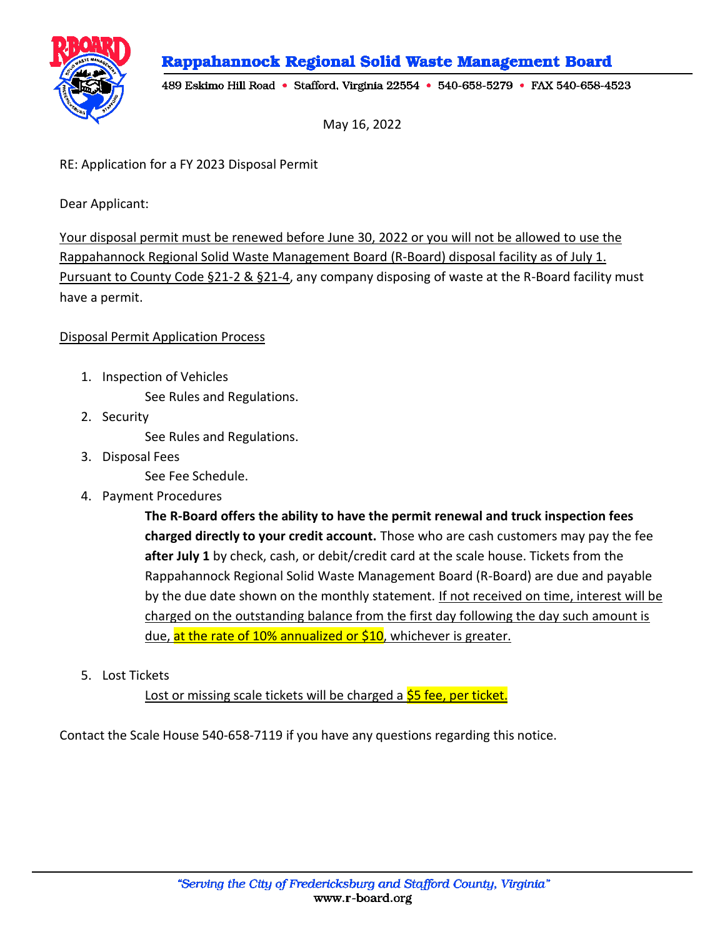Rappahannock Regional Solid Waste Management Board



489 Eskimo Hill Road • Stafford, Virginia 22554 • 540-658-5279 • FAX 540-658-4523

May 16, 2022

RE: Application for a FY 2023 Disposal Permit

Dear Applicant:

Your disposal permit must be renewed before June 30, 2022 or you will not be allowed to use the Rappahannock Regional Solid Waste Management Board (R-Board) disposal facility as of July 1. Pursuant to County Code §21-2 & §21-4, any company disposing of waste at the R-Board facility must have a permit.

## Disposal Permit Application Process

- 1. Inspection of Vehicles See Rules and Regulations.
- 2. Security

See Rules and Regulations.

3. Disposal Fees

See Fee Schedule.

4. Payment Procedures

**The R-Board offers the ability to have the permit renewal and truck inspection fees charged directly to your credit account.** Those who are cash customers may pay the fee **after July 1** by check, cash, or debit/credit card at the scale house. Tickets from the Rappahannock Regional Solid Waste Management Board (R-Board) are due and payable by the due date shown on the monthly statement. If not received on time, interest will be charged on the outstanding balance from the first day following the day such amount is due, at the rate of 10% annualized or \$10, whichever is greater.

5. Lost Tickets

Lost or missing scale tickets will be charged a **\$5 fee, per ticket.** 

Contact the Scale House 540-658-7119 if you have any questions regarding this notice.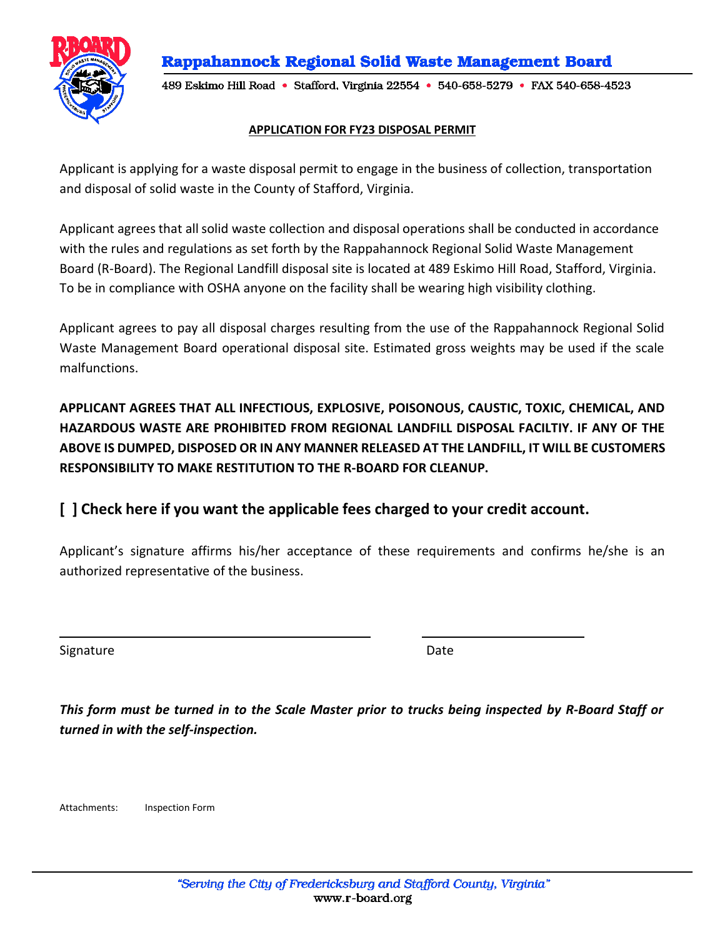



489 Eskimo Hill Road • Stafford, Virginia 22554 • 540-658-5279 • FAX 540-658-4523

## **APPLICATION FOR FY23 DISPOSAL PERMIT**

Applicant is applying for a waste disposal permit to engage in the business of collection, transportation and disposal of solid waste in the County of Stafford, Virginia.

Applicant agrees that allsolid waste collection and disposal operations shall be conducted in accordance with the rules and regulations as set forth by the Rappahannock Regional Solid Waste Management Board (R-Board). The Regional Landfill disposal site is located at 489 Eskimo Hill Road, Stafford, Virginia. To be in compliance with OSHA anyone on the facility shall be wearing high visibility clothing.

Applicant agrees to pay all disposal charges resulting from the use of the Rappahannock Regional Solid Waste Management Board operational disposal site. Estimated gross weights may be used if the scale malfunctions.

**APPLICANT AGREES THAT ALL INFECTIOUS, EXPLOSIVE, POISONOUS, CAUSTIC, TOXIC, CHEMICAL, AND HAZARDOUS WASTE ARE PROHIBITED FROM REGIONAL LANDFILL DISPOSAL FACILTIY. IF ANY OF THE ABOVE IS DUMPED, DISPOSED OR IN ANY MANNER RELEASED AT THE LANDFILL, IT WILL BE CUSTOMERS RESPONSIBILITY TO MAKE RESTITUTION TO THE R-BOARD FOR CLEANUP.**

## **[ ] Check here if you want the applicable fees charged to your credit account.**

Applicant's signature affirms his/her acceptance of these requirements and confirms he/she is an authorized representative of the business.

Signature Date Date Date Date Date

This form must be turned in to the Scale Master prior to trucks being inspected by R-Board Staff or *turned in with the self-inspection.*

Attachments: Inspection Form